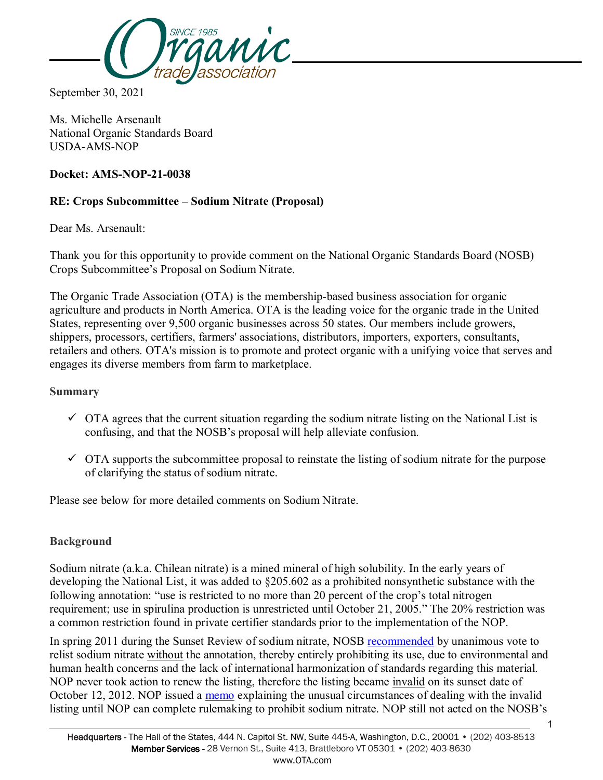

September 30, 2021

Ms. Michelle Arsenault National Organic Standards Board USDA-AMS-NOP

# **Docket: AMS-NOP-21-0038**

# **RE: Crops Subcommittee – Sodium Nitrate (Proposal)**

Dear Ms. Arsenault:

Thank you for this opportunity to provide comment on the National Organic Standards Board (NOSB) Crops Subcommittee's Proposal on Sodium Nitrate.

The Organic Trade Association (OTA) is the membership-based business association for organic agriculture and products in North America. OTA is the leading voice for the organic trade in the United States, representing over 9,500 organic businesses across 50 states. Our members include growers, shippers, processors, certifiers, farmers' associations, distributors, importers, exporters, consultants, retailers and others. OTA's mission is to promote and protect organic with a unifying voice that serves and engages its diverse members from farm to marketplace.

### **Summary**

- $\checkmark$  OTA agrees that the current situation regarding the sodium nitrate listing on the National List is confusing, and that the NOSB's proposal will help alleviate confusion.
- $\checkmark$  OTA supports the subcommittee proposal to reinstate the listing of sodium nitrate for the purpose of clarifying the status of sodium nitrate.

Please see below for more detailed comments on Sodium Nitrate.

# **Background**

Sodium nitrate (a.k.a. Chilean nitrate) is a mined mineral of high solubility. In the early years of developing the National List, it was added to §205.602 as a prohibited nonsynthetic substance with the following annotation: "use is restricted to no more than 20 percent of the crop's total nitrogen requirement; use in spirulina production is unrestricted until October 21, 2005." The 20% restriction was a common restriction found in private certifier standards prior to the implementation of the NOP.

In spring 2011 during the Sunset Review of sodium nitrate, NOSB [recommended](https://www.ams.usda.gov/sites/default/files/media/Sodium%20Nitrate%20Final%20Rec.pdf) by unanimous vote to relist sodium nitrate without the annotation, thereby entirely prohibiting its use, due to environmental and human health concerns and the lack of international harmonization of standards regarding this material. NOP never took action to renew the listing, therefore the listing became invalid on its sunset date of October 12, 2012. NOP issued a [memo](https://www.ams.usda.gov/sites/default/files/media/NOP-Notice-12-1-SodiumNitrate.pdf) explaining the unusual circumstances of dealing with the invalid listing until NOP can complete rulemaking to prohibit sodium nitrate. NOP still not acted on the NOSB's

1